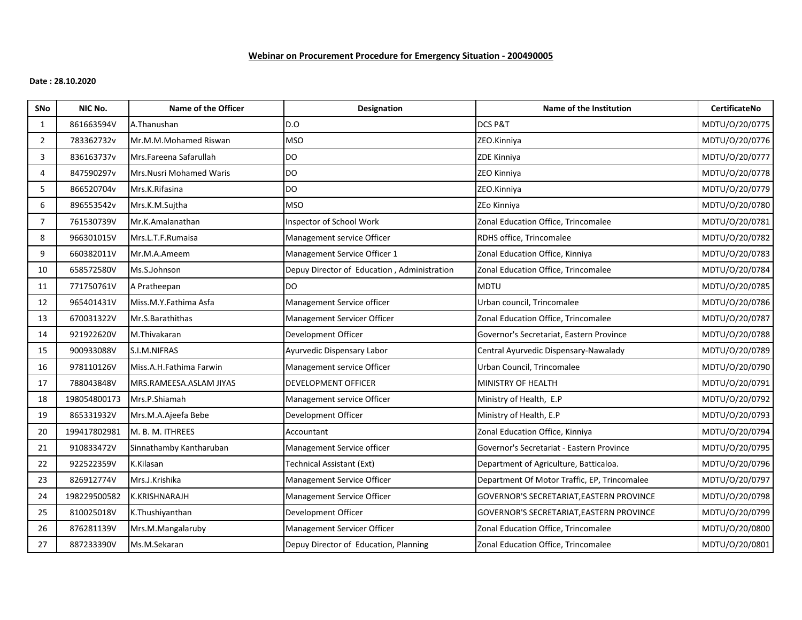# **Webinar on Procurement Procedure for Emergency Situation - 200490005**

### **Date : 28.10.2020**

| <b>SNo</b>     | NIC No.      | Name of the Officer             | <b>Designation</b>                          | Name of the Institution                      | <b>CertificateNo</b> |
|----------------|--------------|---------------------------------|---------------------------------------------|----------------------------------------------|----------------------|
| 1              | 861663594V   | A.Thanushan                     | D.O                                         | DCS P&T                                      | MDTU/0/20/0775       |
| $\overline{2}$ | 783362732v   | Mr.M.M.Mohamed Riswan           | <b>MSO</b>                                  | ZEO.Kinniya                                  | MDTU/0/20/0776       |
| 3              | 836163737v   | Mrs.Fareena Safarullah          | <b>DO</b>                                   | ZDE Kinniya                                  | MDTU/0/20/0777       |
| 4              | 847590297v   | <b>Mrs. Nusri Mohamed Waris</b> | <b>DO</b>                                   | ZEO Kinniya                                  | MDTU/0/20/0778       |
| 5              | 866520704v   | Mrs.K.Rifasina                  | <b>DO</b>                                   | ZEO.Kinniya                                  | MDTU/0/20/0779       |
| 6              | 896553542v   | Mrs.K.M.Sujtha                  | <b>MSO</b>                                  | ZEo Kinniya                                  | MDTU/0/20/0780       |
| $\overline{7}$ | 761530739V   | Mr.K.Amalanathan                | Inspector of School Work                    | Zonal Education Office, Trincomalee          | MDTU/0/20/0781       |
| 8              | 966301015V   | Mrs.L.T.F.Rumaisa               | Management service Officer                  | RDHS office, Trincomalee                     | MDTU/0/20/0782       |
| 9              | 660382011V   | Mr.M.A.Ameem                    | Management Service Officer 1                | Zonal Education Office, Kinniya              | MDTU/0/20/0783       |
| 10             | 658572580V   | Ms.S.Johnson                    | Depuy Director of Education, Administration | Zonal Education Office, Trincomalee          | MDTU/0/20/0784       |
| 11             | 771750761V   | A Pratheepan                    | <b>DO</b>                                   | <b>MDTU</b>                                  | MDTU/0/20/0785       |
| 12             | 965401431V   | Miss.M.Y.Fathima Asfa           | Management Service officer                  | Urban council, Trincomalee                   | MDTU/0/20/0786       |
| 13             | 670031322V   | Mr.S.Barathithas                | Management Servicer Officer                 | Zonal Education Office, Trincomalee          | MDTU/0/20/0787       |
| 14             | 921922620V   | M.Thivakaran                    | Development Officer                         | Governor's Secretariat, Eastern Province     | MDTU/0/20/0788       |
| 15             | 900933088V   | S.I.M.NIFRAS                    | Ayurvedic Dispensary Labor                  | Central Ayurvedic Dispensary-Nawalady        | MDTU/0/20/0789       |
| 16             | 978110126V   | Miss.A.H.Fathima Farwin         | Management service Officer                  | Urban Council, Trincomalee                   | MDTU/0/20/0790       |
| 17             | 788043848V   | MRS.RAMEESA.ASLAM JIYAS         | DEVELOPMENT OFFICER                         | MINISTRY OF HEALTH                           | MDTU/0/20/0791       |
| 18             | 198054800173 | Mrs.P.Shiamah                   | Management service Officer                  | Ministry of Health, E.P                      | MDTU/O/20/0792       |
| 19             | 865331932V   | Mrs.M.A.Ajeefa Bebe             | Development Officer                         | Ministry of Health, E.P                      | MDTU/0/20/0793       |
| 20             | 199417802981 | M. B. M. ITHREES                | <b>Accountant</b>                           | Zonal Education Office, Kinniya              | MDTU/0/20/0794       |
| 21             | 910833472V   | Sinnathamby Kantharuban         | Management Service officer                  | Governor's Secretariat - Eastern Province    | MDTU/0/20/0795       |
| 22             | 922522359V   | K.Kilasan                       | <b>Technical Assistant (Ext)</b>            | Department of Agriculture, Batticaloa.       | MDTU/0/20/0796       |
| 23             | 826912774V   | Mrs.J.Krishika                  | Management Service Officer                  | Department Of Motor Traffic, EP, Trincomalee | MDTU/0/20/0797       |
| 24             | 198229500582 | K.KRISHNARAJH                   | Management Service Officer                  | GOVERNOR'S SECRETARIAT, EASTERN PROVINCE     | MDTU/0/20/0798       |
| 25             | 810025018V   | K.Thushiyanthan                 | Development Officer                         | GOVERNOR'S SECRETARIAT, EASTERN PROVINCE     | MDTU/0/20/0799       |
| 26             | 876281139V   | Mrs.M.Mangalaruby               | Management Servicer Officer                 | Zonal Education Office, Trincomalee          | MDTU/0/20/0800       |
| 27             | 887233390V   | Ms.M.Sekaran                    | Depuy Director of Education, Planning       | Zonal Education Office, Trincomalee          | MDTU/0/20/0801       |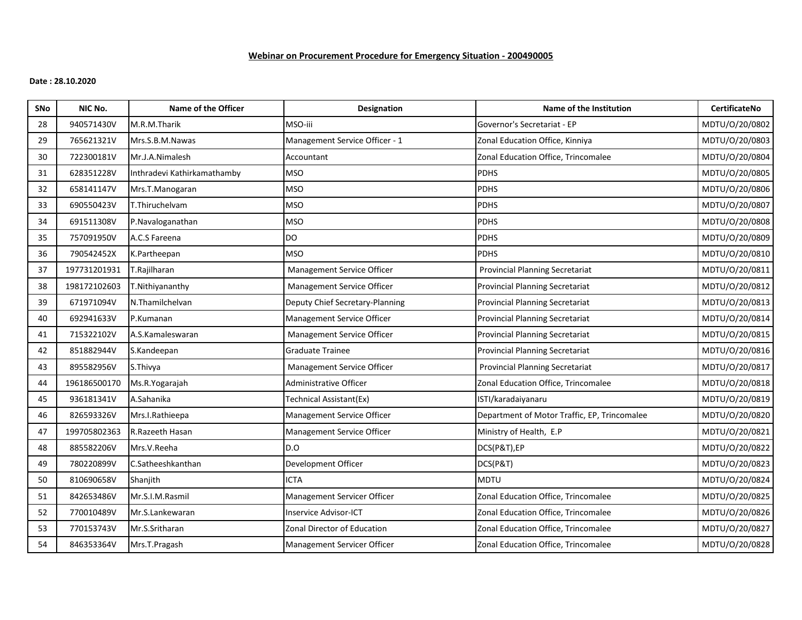# **Webinar on Procurement Procedure for Emergency Situation - 200490005**

### **Date : 28.10.2020**

| SNo | NIC No.      | <b>Name of the Officer</b>  | <b>Designation</b>              | Name of the Institution                      | <b>CertificateNo</b> |
|-----|--------------|-----------------------------|---------------------------------|----------------------------------------------|----------------------|
| 28  | 940571430V   | M.R.M.Tharik                | MSO-iii                         | Governor's Secretariat - EP                  | MDTU/0/20/0802       |
| 29  | 765621321V   | Mrs.S.B.M.Nawas             | Management Service Officer - 1  | Zonal Education Office, Kinniya              | MDTU/0/20/0803       |
| 30  | 722300181V   | Mr.J.A.Nimalesh             | Accountant                      | Zonal Education Office, Trincomalee          | MDTU/0/20/0804       |
| 31  | 628351228V   | Inthradevi Kathirkamathamby | <b>MSO</b>                      | PDHS                                         | MDTU/0/20/0805       |
| 32  | 658141147V   | Mrs.T.Manogaran             | <b>MSO</b>                      | <b>PDHS</b>                                  | MDTU/0/20/0806       |
| 33  | 690550423V   | T.Thiruchelvam              | <b>MSO</b>                      | <b>PDHS</b>                                  | MDTU/0/20/0807       |
| 34  | 691511308V   | P.Navaloganathan            | <b>MSO</b>                      | <b>PDHS</b>                                  | MDTU/0/20/0808       |
| 35  | 757091950V   | A.C.S Fareena               | <b>DO</b>                       | <b>PDHS</b>                                  | MDTU/0/20/0809       |
| 36  | 790542452X   | K.Partheepan                | <b>MSO</b>                      | <b>PDHS</b>                                  | MDTU/0/20/0810       |
| 37  | 197731201931 | T.Rajilharan                | Management Service Officer      | <b>Provincial Planning Secretariat</b>       | MDTU/0/20/0811       |
| 38  | 198172102603 | T.Nithiyananthy             | Management Service Officer      | <b>Provincial Planning Secretariat</b>       | MDTU/0/20/0812       |
| 39  | 671971094V   | N.Thamilchelvan             | Deputy Chief Secretary-Planning | <b>Provincial Planning Secretariat</b>       | MDTU/0/20/0813       |
| 40  | 692941633V   | P.Kumanan                   | Management Service Officer      | Provincial Planning Secretariat              | MDTU/0/20/0814       |
| 41  | 715322102V   | A.S.Kamaleswaran            | Management Service Officer      | <b>Provincial Planning Secretariat</b>       | MDTU/0/20/0815       |
| 42  | 851882944V   | S.Kandeepan                 | <b>Graduate Trainee</b>         | <b>Provincial Planning Secretariat</b>       | MDTU/0/20/0816       |
| 43  | 895582956V   | S.Thivya                    | Management Service Officer      | <b>Provincial Planning Secretariat</b>       | MDTU/0/20/0817       |
| 44  | 196186500170 | Ms.R.Yogarajah              | Administrative Officer          | Zonal Education Office, Trincomalee          | MDTU/0/20/0818       |
| 45  | 936181341V   | A.Sahanika                  | Technical Assistant(Ex)         | ISTI/karadaiyanaru                           | MDTU/0/20/0819       |
| 46  | 826593326V   | Mrs.I.Rathieepa             | Management Service Officer      | Department of Motor Traffic, EP, Trincomalee | MDTU/0/20/0820       |
| 47  | 199705802363 | R.Razeeth Hasan             | Management Service Officer      | Ministry of Health, E.P                      | MDTU/0/20/0821       |
| 48  | 885582206V   | Mrs.V.Reeha                 | D.O                             | DCS(P&T),EP                                  | MDTU/0/20/0822       |
| 49  | 780220899V   | C.Satheeshkanthan           | Development Officer             | DCS(P&T)                                     | MDTU/0/20/0823       |
| 50  | 810690658V   | Shanjith                    | <b>ICTA</b>                     | <b>MDTU</b>                                  | MDTU/0/20/0824       |
| 51  | 842653486V   | Mr.S.I.M.Rasmil             | Management Servicer Officer     | Zonal Education Office, Trincomalee          | MDTU/0/20/0825       |
| 52  | 770010489V   | Mr.S.Lankewaran             | Inservice Advisor-ICT           | Zonal Education Office, Trincomalee          | MDTU/0/20/0826       |
| 53  | 770153743V   | Mr.S.Sritharan              | Zonal Director of Education     | Zonal Education Office, Trincomalee          | MDTU/0/20/0827       |
| 54  | 846353364V   | Mrs.T.Pragash               | Management Servicer Officer     | Zonal Education Office, Trincomalee          | MDTU/0/20/0828       |